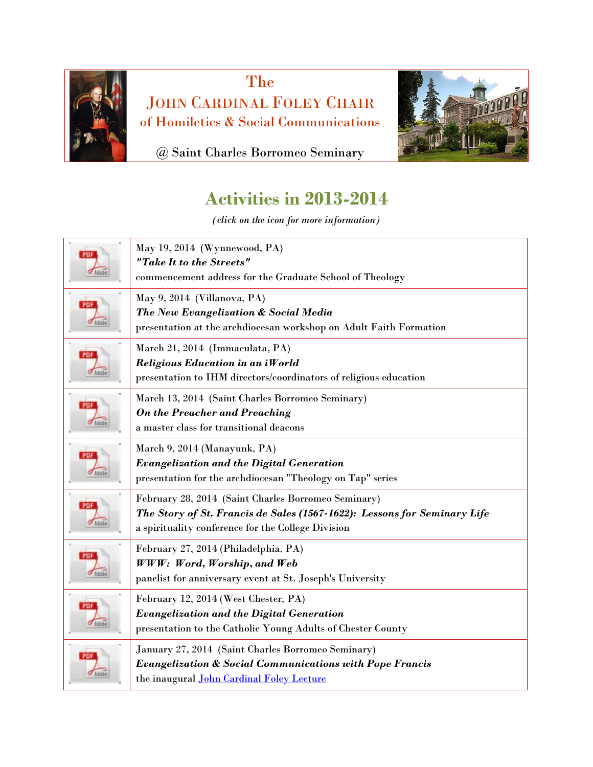

## The JOHN CARDINAL FOLEY CHAIR of Homiletics & Social Communications



@ Saint Charles Borromeo Seminary

## **Activities in 2013-2014**

*(click on the icon for more information)*

| May 19, 2014 (Wynnewood, PA)<br>"Take It to the Streets"<br>commencement address for the Graduate School of Theology                                                                  |
|---------------------------------------------------------------------------------------------------------------------------------------------------------------------------------------|
| May 9, 2014 (Villanova, PA)<br>The New Evangelization & Social Media<br>presentation at the archdiocesan workshop on Adult Faith Formation                                            |
| March 21, 2014 (Immaculata, PA)<br>Religious Education in an iWorld<br>presentation to IHM directors/coordinators of religious education                                              |
| March 13, 2014 (Saint Charles Borromeo Seminary)<br><b>On the Preacher and Preaching</b><br>a master class for transitional deacons                                                   |
| March 9, 2014 (Manayunk, PA)<br><b>Evangelization and the Digital Generation</b><br>presentation for the archdiocesan "Theology on Tap" series                                        |
| February 28, 2014 (Saint Charles Borromeo Seminary)<br>The Story of St. Francis de Sales (1567-1622): Lessons for Seminary Life<br>a spirituality conference for the College Division |
| February 27, 2014 (Philadelphia, PA)<br>WWW: Word, Worship, and Web<br>panelist for anniversary event at St. Joseph's University                                                      |
| February 12, 2014 (West Chester, PA)<br><b>Evangelization and the Digital Generation</b><br>presentation to the Catholic Young Adults of Chester County                               |
| January 27, 2014 (Saint Charles Borromeo Seminary)<br><b>Evangelization &amp; Social Communications with Pope Francis</b><br>the inaugural <b>John Cardinal Foley Lecture</b>         |